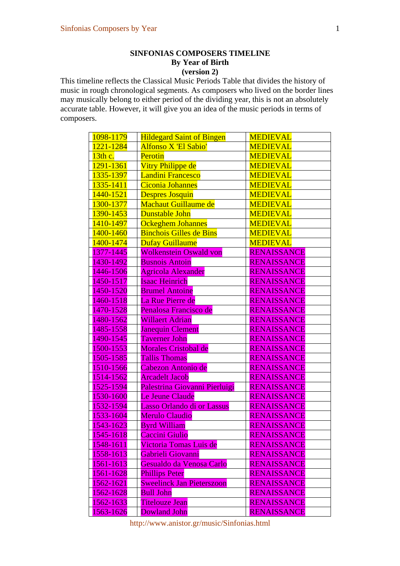## **SINFONIAS COMPOSERS TIMELINE By Year of Birth (version 2)**

This timeline reflects the Classical Music Periods Table that divides the history of music in rough chronological segments. As composers who lived on the border lines may musically belong to either period of the dividing year, this is not an absolutely accurate table. However, it will give you an idea of the music periods in terms of composers.

| 1098-1179 | <b>Hildegard Saint of Bingen</b> | <b>MEDIEVAL</b>    |
|-----------|----------------------------------|--------------------|
| 1221-1284 | Alfonso X 'El Sabio'             | <b>MEDIEVAL</b>    |
| 13th c.   | Perotin                          | <b>MEDIEVAL</b>    |
| 1291-1361 | Vitry Philippe de                | <b>MEDIEVAL</b>    |
| 1335-1397 | <b>Landini Francesco</b>         | <b>MEDIEVAL</b>    |
| 1335-1411 | <b>Ciconia Johannes</b>          | <b>MEDIEVAL</b>    |
| 1440-1521 | <b>Despres Josquin</b>           | <b>MEDIEVAL</b>    |
| 1300-1377 | <b>Machaut Guillaume de</b>      | <b>MEDIEVAL</b>    |
| 1390-1453 | Dunstable John                   | <b>MEDIEVAL</b>    |
| 1410-1497 | <b>Ockeghem Johannes</b>         | <b>MEDIEVAL</b>    |
| 1400-1460 | <b>Binchois Gilles de Bins</b>   | <b>MEDIEVAL</b>    |
| 1400-1474 | Dufay Guillaume                  | <b>MEDIEVAL</b>    |
| 1377-1445 | <b>Wolkenstein Oswald von</b>    | <b>RENAISSANCE</b> |
| 1430-1492 | <b>Busnois Antoin</b>            | RENAISSANCE        |
| 1446-1506 | <b>Agricola Alexander</b>        | RENAISSANCE        |
| 1450-1517 | Isaac Heinrich                   | <b>RENAISSANCE</b> |
| 1450-1520 | <b>Brumel Antoine</b>            | <b>RENAISSANCE</b> |
| 1460-1518 | La Rue Pierre de                 | <b>RENAISSANCE</b> |
| 1470-1528 | Penalosa Francisco de            | RENAISSANCE        |
| 1480-1562 | <b>Willaert Adrian</b>           | <b>RENAISSANCE</b> |
| 1485-1558 | Janequin Clement                 | <b>RENAISSANCE</b> |
| 1490-1545 | <b>Taverner John</b>             | <b>RENAISSANCE</b> |
| 1500-1553 | Morales Cristobal de             | <b>RENAISSANCE</b> |
| 1505-1585 | <b>Tallis Thomas</b>             | <b>RENAISSANCE</b> |
| 1510-1566 | Cabezon Antonio de               | <b>RENAISSANCE</b> |
| 1514-1562 | <b>Arcadelt Jacob</b>            | <b>RENAISSANCE</b> |
| 1525-1594 | Palestrina Giovanni Pierluigi    | RENAISSANCE        |
| 1530-1600 | Le Jeune Claude                  | <b>RENAISSANCE</b> |
| 1532-1594 | Lasso Orlando di or Lassus       | <b>RENAISSANCE</b> |
| 1533-1604 | Merulo Claudio                   | RENAISSANCE        |
| 1543-1623 | <b>Byrd William</b>              | <b>RENAISSANCE</b> |
| 1545-1618 | Caccini Giulio                   | <b>RENAISSANCE</b> |
| 1548-1611 | Victoria Tomas Luis de           | <b>RENAISSANCE</b> |
| 1558-1613 | Gabrieli Giovanni                | <b>RENAISSANCE</b> |
| 1561-1613 | Gesualdo da Venosa Carlo         | <b>RENAISSANCE</b> |
| 1561-1628 | <b>Phillips Peter</b>            | <b>RENAISSANCE</b> |
| 1562-1621 | <b>Sweelinck Jan Pieterszoon</b> | <b>RENAISSANCE</b> |
| 1562-1628 | <b>Bull John</b>                 | <b>RENAISSANCE</b> |
| 1562-1633 | Titelouze Jean                   | <b>RENAISSANCE</b> |
| 1563-1626 | <b>Dowland John</b>              | <b>RENAISSANCE</b> |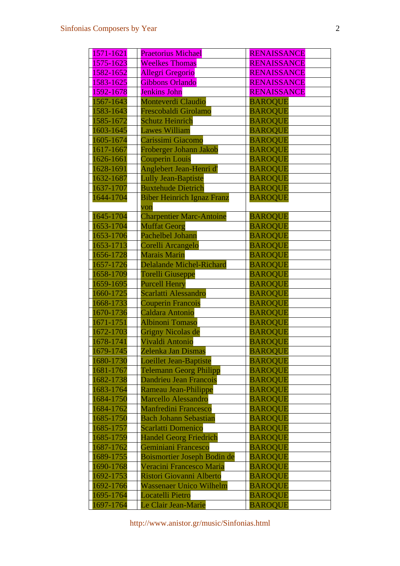| 1571-1621 | <b>Praetorius Michael</b>          | <b>RENAISSANCE</b> |
|-----------|------------------------------------|--------------------|
| 1575-1623 | <b>Weelkes Thomas</b>              | RENAISSANCE        |
| 1582-1652 | <b>Allegri Gregorio</b>            | <b>RENAISSANCE</b> |
| 1583-1625 | <b>Gibbons Orlando</b>             | <b>RENAISSANCE</b> |
| 1592-1678 | <b>Jenkins John</b>                | <b>RENAISSANCE</b> |
| 1567-1643 | <b>Monteverdi Claudio</b>          | <b>BAROQUE</b>     |
| 1583-1643 | Frescobaldi Girolamo               | <b>BAROQUE</b>     |
| 1585-1672 | <b>Schutz Heinrich</b>             | <b>BAROQUE</b>     |
| 1603-1645 | <b>Lawes William</b>               | <b>BAROQUE</b>     |
| 1605-1674 | Carissimi Giacomo                  | <b>BAROQUE</b>     |
| 1617-1667 | Froberger Johann Jakob             | <b>BAROQUE</b>     |
| 1626-1661 | <b>Couperin Louis</b>              | <b>BAROQUE</b>     |
| 1628-1691 | Anglebert Jean-Henri d'            | <b>BAROQUE</b>     |
| 1632-1687 | <b>Lully Jean-Baptiste</b>         | <b>BAROQUE</b>     |
| 1637-1707 | <b>Buxtehude Dietrich</b>          | <b>BAROQUE</b>     |
| 1644-1704 | <b>Biber Heinrich Ignaz Franz</b>  | <b>BAROQUE</b>     |
|           | von                                |                    |
| 1645-1704 | <b>Charpentier Marc-Antoine</b>    | <b>BAROQUE</b>     |
| 1653-1704 | <b>Muffat Georg</b>                | <b>BAROQUE</b>     |
| 1653-1706 | Pachelbel Johann                   | <b>BAROQUE</b>     |
| 1653-1713 | Corelli Arcangelo                  | <b>BAROQUE</b>     |
| 1656-1728 | <b>Marais Marin</b>                | <b>BAROQUE</b>     |
| 1657-1726 | <b>Delalande Michel-Richard</b>    | <b>BAROQUE</b>     |
| 1658-1709 | <b>Torelli Giuseppe</b>            | <b>BAROQUE</b>     |
| 1659-1695 | <b>Purcell Henry</b>               | <b>BAROQUE</b>     |
| 1660-1725 | Scarlatti Alessandro               | <b>BAROQUE</b>     |
| 1668-1733 | <b>Couperin Francois</b>           | <b>BAROQUE</b>     |
| 1670-1736 | Caldara Antonio                    | <b>BAROQUE</b>     |
| 1671-1751 | <b>Albinoni Tomaso</b>             | <b>BAROQUE</b>     |
| 1672-1703 | <b>Grigny Nicolas de</b>           | <b>BAROQUE</b>     |
| 1678-1741 | Vivaldi Antonio                    | <b>BAROQUE</b>     |
| 1679-1745 | Zelenka Jan Dismas                 | <b>BAROQUE</b>     |
| 1680-1730 | <b>Loeillet Jean-Baptiste</b>      | <b>BAROQUE</b>     |
| 1681-1767 | <b>Telemann Georg Philipp</b>      | <b>BAROQUE</b>     |
| 1682-1738 | <b>Dandrieu Jean Francois</b>      | <b>BAROQUE</b>     |
| 1683-1764 | Rameau Jean-Philippe               | <b>BAROQUE</b>     |
| 1684-1750 | <b>Marcello Alessandro</b>         | <b>BAROQUE</b>     |
| 1684-1762 | <b>Manfredini Francesco</b>        | <b>BAROQUE</b>     |
| 1685-1750 | <b>Bach Johann Sebastian</b>       | <b>BAROQUE</b>     |
| 1685-1757 | <b>Scarlatti Domenico</b>          | <b>BAROQUE</b>     |
| 1685-1759 | <b>Handel Georg Friedrich</b>      | <b>BAROQUE</b>     |
| 1687-1762 | Geminiani Francesco                | <b>BAROQUE</b>     |
| 1689-1755 | <b>Boismortier Joseph Bodin de</b> | <b>BAROQUE</b>     |
| 1690-1768 | Veracini Francesco Maria           | <b>BAROQUE</b>     |
| 1692-1753 | Ristori Giovanni Alberto           | <b>BAROQUE</b>     |
| 1692-1766 | <b>Wassenaer Unico Wilhelm</b>     | <b>BAROQUE</b>     |
| 1695-1764 | <b>Locatelli Pietro</b>            | <b>BAROQUE</b>     |
| 1697-1764 | Le Clair Jean-Marie                | <b>BAROQUE</b>     |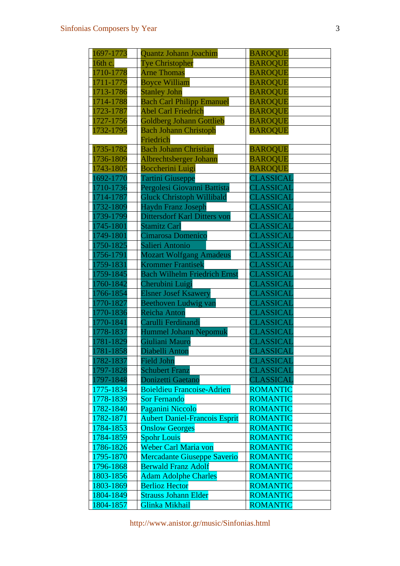| 1697-1773              | Quantz Johann Joachim                          | <b>BAROQUE</b>                |
|------------------------|------------------------------------------------|-------------------------------|
| 16th c.                | Tye Christopher                                | <b>BAROQUE</b>                |
| 1710-1778              | <b>Arne Thomas</b>                             | <b>BAROQUE</b>                |
| 1711-1779              | <b>Boyce William</b>                           | <b>BAROQUE</b>                |
| 1713-1786              | <b>Stanley John</b>                            | <b>BAROQUE</b>                |
| 1714-1788              | <b>Bach Carl Philipp Emanuel</b>               | <b>BAROQUE</b>                |
| 1723-1787              | <b>Abel Carl Friedrich</b>                     | <b>BAROQUE</b>                |
| 1727-1756              | <b>Goldberg Johann Gottlieb</b>                | <b>BAROQUE</b>                |
| 1732-1795              | <b>Bach Johann Christoph</b>                   | <b>BAROQUE</b>                |
|                        | Friedrich                                      |                               |
| 1735-1782              | <b>Bach Johann Christian</b>                   | <b>BAROQUE</b>                |
| 1736-1809              | Albrechtsberger Johann                         | <b>BAROQUE</b>                |
| 1743-1805              | <b>Boccherini Luigi</b>                        | <b>BAROQUE</b>                |
| 1692-1770              | Tartini Giuseppe                               | CLASSICAL                     |
| 1710-1736              | Pergolesi Giovanni Battista                    | CLASSICAL                     |
| 1714-1787              | <b>Gluck Christoph Willibald</b>               | CLASSICAL                     |
| 1732-1809              | <b>Haydn Franz Joseph</b>                      | CLASSICAL                     |
| 1739-1799<br>1745-1801 | <b>Dittersdorf Karl Ditters von</b>            | CLASSICAL                     |
| 1749-1801              | <b>Stamitz Carl</b><br>Cimarosa Domenico       | CLASSICAL                     |
|                        |                                                | CLASSICAL<br>CLASSICAL        |
| 1750-1825              | Salieri Antonio                                |                               |
| 1756-1791              | <b>Mozart Wolfgang Amadeus</b>                 | CLASSICAL                     |
| 1759-1831<br>1759-1845 | <b>Krommer Frantisek</b>                       | CLASSICAL                     |
| 1760-1842              | <b>Bach Wilhelm Friedrich Ernst</b>            | CLASSICAL                     |
| 1766-1854              | Cherubini Luigi<br><b>Elsner Josef Ksawery</b> | <b>CLASSICAL</b><br>CLASSICAL |
| 1770-1827              |                                                | CLASSICAL                     |
| 1770-1836              | Beethoven Ludwig van<br><b>Reicha Anton</b>    | CLASSICAL                     |
| 1770-1841              | Carulli Ferdinandi                             | CLASSICAL                     |
| 1778-1837              | <b>Hummel Johann Nepomuk</b>                   | CLASSICAL                     |
| 1781-1829              | Giuliani Mauro                                 | CLASSICAL                     |
| 1781-1858              | Diabelli Anton                                 | CLASSICAL                     |
| 1782-1837              | <b>Field John</b>                              | CLASSICAL                     |
| 1797-1828              | <b>Schubert Franz</b>                          | CLASSICAL                     |
| 1797-1848              | Donizetti Gaetano                              | CLASSICAL                     |
| 1775-1834              | <b>Boieldieu Francoise-Adrien</b>              | <b>ROMANTIC</b>               |
| 1778-1839              | <b>Sor Fernando</b>                            | <b>ROMANTIC</b>               |
| 1782-1840              | Paganini Niccolo                               | <b>ROMANTIC</b>               |
| 1782-1871              | <b>Aubert Daniel-Francois Esprit</b>           | <b>ROMANTIC</b>               |
| 1784-1853              | <b>Onslow Georges</b>                          | <b>ROMANTIC</b>               |
| 1784-1859              | <b>Spohr Louis</b>                             | <b>ROMANTIC</b>               |
| 1786-1826              | Weber Carl Maria von                           | <b>ROMANTIC</b>               |
| 1795-1870              | <b>Mercadante Giuseppe Saverio</b>             | <b>ROMANTIC</b>               |
| 1796-1868              | <b>Berwald Franz Adolf</b>                     | <b>ROMANTIC</b>               |
| 1803-1856              | <b>Adam Adolphe Charles</b>                    | <b>ROMANTIC</b>               |
| 1803-1869              | <b>Berlioz Hector</b>                          | <b>ROMANTIC</b>               |
| 1804-1849              | <b>Strauss Johann Elder</b>                    | <b>ROMANTIC</b>               |
| 1804-1857              | Glinka Mikhail                                 | <b>ROMANTIC</b>               |
|                        |                                                |                               |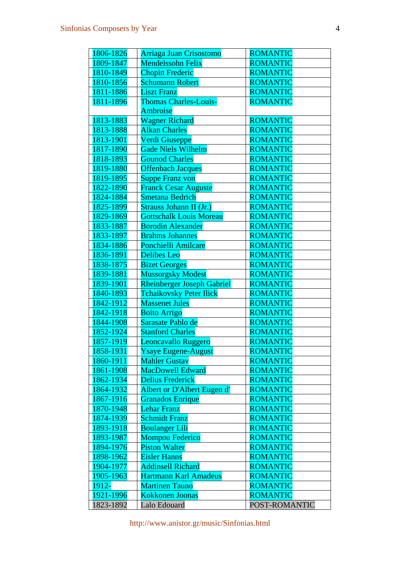| 1806-1826 | Arriaga Juan Crisostomo           | <b>ROMANTIC</b> |
|-----------|-----------------------------------|-----------------|
| 1809-1847 | <b>Mendelssohn Felix</b>          | <b>ROMANTIC</b> |
| 1810-1849 | <b>Chopin Frederic</b>            | <b>ROMANTIC</b> |
| 1810-1856 | <b>Schumann Robert</b>            | <b>ROMANTIC</b> |
| 1811-1886 | <b>Liszt Franz</b>                | <b>ROMANTIC</b> |
| 1811-1896 | <b>Thomas Charles-Louis-</b>      | <b>ROMANTIC</b> |
|           | Ambroise                          |                 |
| 1813-1883 | <b>Wagner Richard</b>             | <b>ROMANTIC</b> |
| 1813-1888 | <b>Alkan Charles</b>              | <b>ROMANTIC</b> |
| 1813-1901 | Verdi Giuseppe                    | <b>ROMANTIC</b> |
| 1817-1890 | <b>Gade Niels Wilhelm</b>         | <b>ROMANTIC</b> |
| 1818-1893 | <b>Gounod Charles</b>             | <b>ROMANTIC</b> |
| 1819-1880 | <b>Offenbach Jacques</b>          | <b>ROMANTIC</b> |
| 1819-1895 | <b>Suppe Franz von</b>            | <b>ROMANTIC</b> |
| 1822-1890 | <b>Franck Cesar Auguste</b>       | <b>ROMANTIC</b> |
| 1824-1884 | <b>Smetana Bedrich</b>            | <b>ROMANTIC</b> |
| 1825-1899 | Strauss Johann II (Jr.)           | <b>ROMANTIC</b> |
| 1829-1869 | <b>Gottschalk Louis Moreau</b>    | <b>ROMANTIC</b> |
| 1833-1887 | <b>Borodin Alexander</b>          | <b>ROMANTIC</b> |
| 1833-1897 | <b>Brahms Johannes</b>            | <b>ROMANTIC</b> |
| 1834-1886 | <b>Ponchielli Amilcare</b>        | <b>ROMANTIC</b> |
| 1836-1891 | <b>Delibes Leo</b>                | <b>ROMANTIC</b> |
| 1838-1875 | <b>Bizet Georges</b>              | <b>ROMANTIC</b> |
| 1839-1881 | <b>Mussorgsky Modest</b>          | <b>ROMANTIC</b> |
| 1839-1901 | <b>Rheinberger Joseph Gabriel</b> | <b>ROMANTIC</b> |
| 1840-1893 | <b>Tchaikovsky Peter Ilick</b>    | <b>ROMANTIC</b> |
| 1842-1912 | <b>Massenet Jules</b>             | <b>ROMANTIC</b> |
| 1842-1918 | <b>Boito Arrigo</b>               | <b>ROMANTIC</b> |
| 1844-1908 | Sarasate Pablo de                 | <b>ROMANTIC</b> |
| 1852-1924 | <b>Stanford Charles</b>           | <b>ROMANTIC</b> |
| 1857-1919 | Leoncavallo Ruggero               | <b>ROMANTIC</b> |
| 1858-1931 | Ysaye Eugene-August               | <b>ROMANTIC</b> |
| 1860-1911 | <b>Mahler Gustav</b>              | <b>ROMANTIC</b> |
| 1861-1908 | <b>MacDowell Edward</b>           | <b>ROMANTIC</b> |
| 1862-1934 | <b>Delius Frederick</b>           | <b>ROMANTIC</b> |
| 1864-1932 | Albert or D'Albert Eugen d'       | <b>ROMANTIC</b> |
| 1867-1916 | <b>Granados Enrique</b>           | <b>ROMANTIC</b> |
| 1870-1948 | <b>Lehar Franz</b>                | <b>ROMANTIC</b> |
| 1874-1939 | <b>Schmidt Franz</b>              | <b>ROMANTIC</b> |
| 1893-1918 | <b>Boulanger Lili</b>             | <b>ROMANTIC</b> |
| 1893-1987 | <b>Mompou Federico</b>            | <b>ROMANTIC</b> |
| 1894-1976 | <b>Piston Walter</b>              | <b>ROMANTIC</b> |
| 1898-1962 | <b>Eisler Hanns</b>               | <b>ROMANTIC</b> |
| 1904-1977 | <b>Addinsell Richard</b>          | <b>ROMANTIC</b> |
| 1905-1963 | Hartmann Karl Amadeus             | <b>ROMANTIC</b> |
| 1912-     | <b>Martinen Tauno</b>             | <b>ROMANTIC</b> |
| 1921-1996 | <b>Kokkonen Joonas</b>            | <b>ROMANTIC</b> |
| 1823-1892 | Lalo Edouard                      | POST-ROMANTIC   |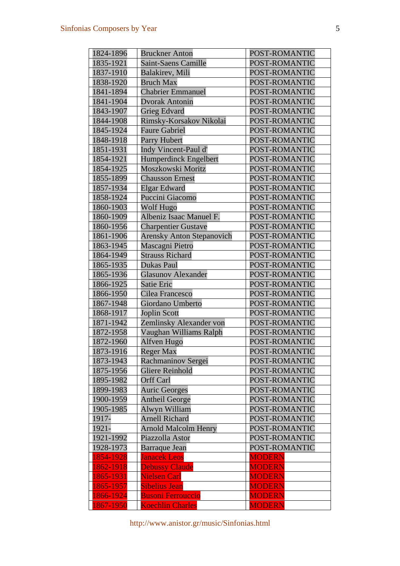| 1824-1896 | <b>Bruckner Anton</b>            | POST-ROMANTIC |
|-----------|----------------------------------|---------------|
| 1835-1921 | <b>Saint-Saens Camille</b>       | POST-ROMANTIC |
| 1837-1910 | <b>Balakirev</b> , Mili          | POST-ROMANTIC |
| 1838-1920 | <b>Bruch Max</b>                 | POST-ROMANTIC |
| 1841-1894 | <b>Chabrier Emmanuel</b>         | POST-ROMANTIC |
| 1841-1904 | <b>Dvorak Antonin</b>            | POST-ROMANTIC |
| 1843-1907 | <b>Grieg Edvard</b>              | POST-ROMANTIC |
| 1844-1908 | Rimsky-Korsakov Nikolai          | POST-ROMANTIC |
| 1845-1924 | <b>Faure Gabriel</b>             | POST-ROMANTIC |
| 1848-1918 | <b>Parry Hubert</b>              | POST-ROMANTIC |
| 1851-1931 | Indy Vincent-Paul d'             | POST-ROMANTIC |
| 1854-1921 | <b>Humperdinck Engelbert</b>     | POST-ROMANTIC |
| 1854-1925 | Moszkowski Moritz                | POST-ROMANTIC |
| 1855-1899 | <b>Chausson Ernest</b>           | POST-ROMANTIC |
| 1857-1934 | <b>Elgar Edward</b>              | POST-ROMANTIC |
| 1858-1924 | Puccini Giacomo                  | POST-ROMANTIC |
| 1860-1903 | Wolf Hugo                        | POST-ROMANTIC |
| 1860-1909 | Albeniz Isaac Manuel F.          | POST-ROMANTIC |
| 1860-1956 | <b>Charpentier Gustave</b>       | POST-ROMANTIC |
| 1861-1906 | <b>Arensky Anton Stepanovich</b> | POST-ROMANTIC |
| 1863-1945 | Mascagni Pietro                  | POST-ROMANTIC |
| 1864-1949 | <b>Strauss Richard</b>           | POST-ROMANTIC |
| 1865-1935 | <b>Dukas Paul</b>                | POST-ROMANTIC |
| 1865-1936 | <b>Glasunov Alexander</b>        | POST-ROMANTIC |
| 1866-1925 | <b>Satie Eric</b>                | POST-ROMANTIC |
| 1866-1950 | Cilea Francesco                  | POST-ROMANTIC |
| 1867-1948 | Giordano Umberto                 | POST-ROMANTIC |
| 1868-1917 | <b>Joplin Scott</b>              | POST-ROMANTIC |
| 1871-1942 | Zemlinsky Alexander von          | POST-ROMANTIC |
| 1872-1958 | Vaughan Williams Ralph           | POST-ROMANTIC |
| 1872-1960 | Alfven Hugo                      | POST-ROMANTIC |
| 1873-1916 | Reger Max                        | POST-ROMANTIC |
| 1873-1943 | Rachmaninov Sergei               | POST-ROMANTIC |
| 1875-1956 | <b>Gliere Reinhold</b>           | POST-ROMANTIC |
| 1895-1982 | <b>Orff Carl</b>                 | POST-ROMANTIC |
| 1899-1983 | <b>Auric Georges</b>             | POST-ROMANTIC |
| 1900-1959 | <b>Antheil George</b>            | POST-ROMANTIC |
| 1905-1985 | Alwyn William                    | POST-ROMANTIC |
| 1917-     | <b>Arnell Richard</b>            | POST-ROMANTIC |
| 1921-     | <b>Arnold Malcolm Henry</b>      | POST-ROMANTIC |
| 1921-1992 | Piazzolla Astor                  | POST-ROMANTIC |
| 1928-1973 | <b>Barraque Jean</b>             | POST-ROMANTIC |
| 1854-1928 | <b>Janacek Leos</b>              | <b>MODERN</b> |
| 1862-1918 | <b>Debussy Claude</b>            | <b>MODERN</b> |
| 1865-1931 | <b>Nielsen Carl</b>              | <b>MODERN</b> |
| 1865-1957 | <b>Sibelius Jean</b>             | <b>MODERN</b> |
| 1866-1924 | <b>Busoni Ferrouccio</b>         | <b>MODERN</b> |
| 1867-1950 | <b>Koechlin Charles</b>          | <b>MODERN</b> |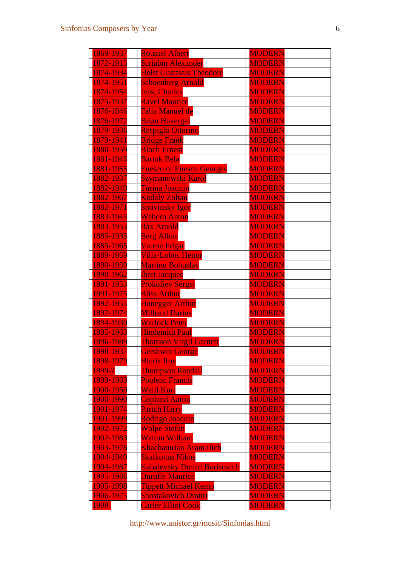| 1869-1937  | <b>Roussel Albert</b>               | <b>MODERN</b> |
|------------|-------------------------------------|---------------|
| 1872-1915  | <b>Scriabin Alexander</b>           | <b>MODERN</b> |
| 1874-1934  | <b>Holst Gustavus Theodore</b>      | <b>MODERN</b> |
| 1874-1951  | <b>Schoenberg Arnold</b>            | <b>MODERN</b> |
| 1874-1954  | <b>Ives, Charles</b>                | <b>MODERN</b> |
| 1875-1937  | <b>Ravel Maurice</b>                | <b>MODERN</b> |
| 1876-1946  | <b>Falla Manuel de</b>              | <b>MODERN</b> |
| 1876-1972  | <b>Brian Havergal</b>               | <b>MODERN</b> |
| 1879-1936  | Respighi Ottorino                   | <b>MODERN</b> |
| 1879-1941  | <b>Bridge Frank</b>                 | <b>MODERN</b> |
| 1880-1959  | <b>Bloch Ernest</b>                 | <b>MODERN</b> |
| 1881-1945  | <b>Bartok Bela</b>                  | <b>MODERN</b> |
| 1881-1955  | <b>Enesco or Enescu Georges</b>     | <b>MODERN</b> |
| 1882-1937  | Szymanowski Karol                   | <b>MODERN</b> |
| 1882-1949  | Turina Joaquin                      | <b>MODERN</b> |
| 1882-1967  | <b>Kodaly Zoltan</b>                | <b>MODERN</b> |
| 1882-1971  | <b>Stravinsky Igor</b>              | <b>MODERN</b> |
| 1883-1945  | <b>Webern Anton</b>                 | <b>MODERN</b> |
| 1883-1953  | <b>Bax Arnold</b>                   | <b>MODERN</b> |
| 1885-1935  | <b>Berg Alban</b>                   | <b>MODERN</b> |
| 1885-1965  | <b>Varese Edgar</b>                 | <b>MODERN</b> |
| 1889-1959  | <b>Villa-Lobos Heitor</b>           | <b>MODERN</b> |
| 1890-1959  | <b>Martinu Bohuslav</b>             | <b>MODERN</b> |
| 1890-1962  | <b>Ibert Jacques</b>                | <b>MODERN</b> |
| 1891-1953  | Prokofiev Sergei                    | <b>MODERN</b> |
| 1891-1975  | <b>Bliss Arthur</b>                 | <b>MODERN</b> |
| 1892-1955  | <b>Honegger Arthur</b>              | <b>MODERN</b> |
| 1892-1974  | <b>Milhaud Darius</b>               | <b>MODERN</b> |
| 1894-1930  | <b>Warlock Peter</b>                | <b>MODERN</b> |
| 1895-1963  | <b>Hindemith Paul</b>               | <b>MODERN</b> |
| 1896-1989  | <b>Thomson Virgil Garnett</b>       | <b>MODERN</b> |
| 1898-1937  | <b>Gershwin George</b>              | <b>MODERN</b> |
| 1898-1979  | <b>Harris Roy</b>                   | <b>MODERN</b> |
| $1899 - ?$ | <b>Thompson Randall</b>             | <b>MODERN</b> |
| 1899-1963  | <b>Poulenc Francis</b>              | <b>MODERN</b> |
| 1900-1950  | <b>Weill Kurt</b>                   | <b>MODERN</b> |
| 1900-1990  | <b>Copland Aaron</b>                | <b>MODERN</b> |
| 1901-1974  | <b>Partch Harry</b>                 | <b>MODERN</b> |
| 1901-1999  | Rodrigo Joaquin                     | <b>MODERN</b> |
| 1902-1972  | <b>Wolpe Stefan</b>                 | <b>MODERN</b> |
| 1902-1983  | <b>Walton William</b>               | <b>MODERN</b> |
| 1903-1978  | <b>Khachaturian Aram Ilich</b>      | <b>MODERN</b> |
| 1904-1949  | <b>Skalkottas Nikos</b>             | <b>MODERN</b> |
| 1904-1987  | <b>Kabalevsky Dmitri Borisovich</b> | <b>MODERN</b> |
| 1905-1986  | <b>Durufle Maurice</b>              | <b>MODERN</b> |
| 1905-1998  | <b>Tippett Michael Kemp</b>         | <b>MODERN</b> |
| 1906-1975  | <b>Shostakovich Dmitri</b>          | <b>MODERN</b> |
| 1908-      | <b>Carter Elliot Cook</b>           | <b>MODERN</b> |